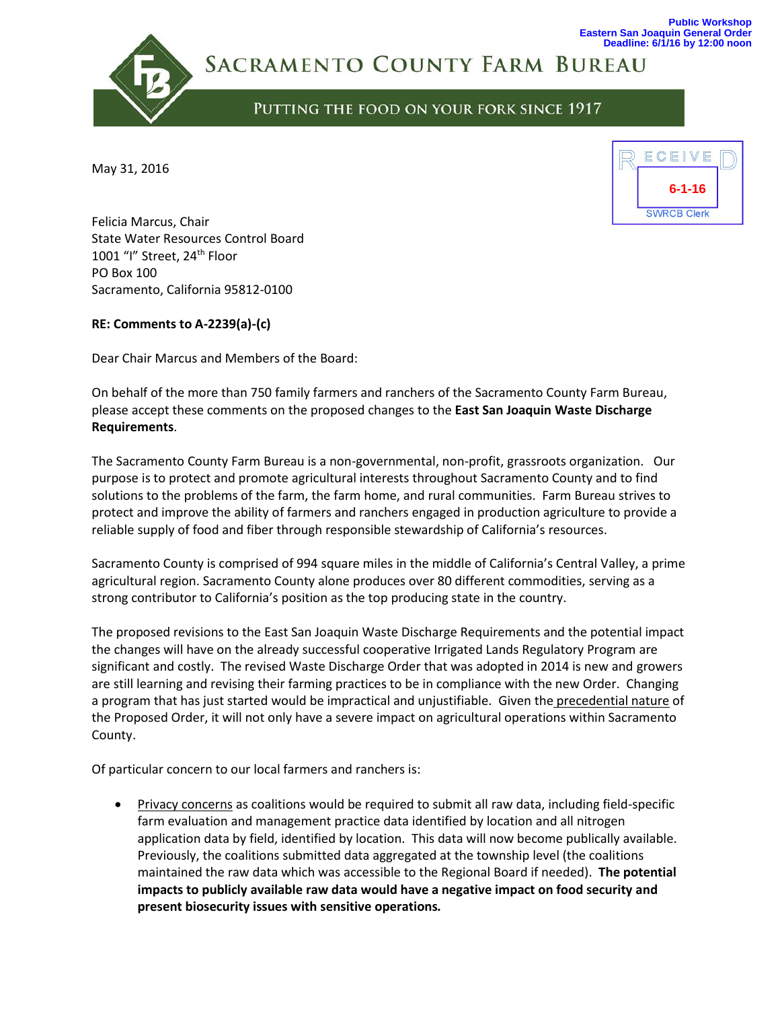**Public Workshop Eastern San Joaquin General Order Deadline: 6/1/16 by 12:00 noon**

SACRAMENTO COUNTY FARM BUREAU

## PUTTING THE FOOD ON YOUR FORK SINCE 1917

May 31, 2016



Felicia Marcus, Chair State Water Resources Control Board 1001 "I" Street, 24<sup>th</sup> Floor PO Box 100 Sacramento, California 95812-0100

## **RE: Comments to A-2239(a)-(c)**

Dear Chair Marcus and Members of the Board:

On behalf of the more than 750 family farmers and ranchers of the Sacramento County Farm Bureau, please accept these comments on the proposed changes to the **East San Joaquin Waste Discharge Requirements**.

The Sacramento County Farm Bureau is a non-governmental, non-profit, grassroots organization. Our purpose is to protect and promote agricultural interests throughout Sacramento County and to find solutions to the problems of the farm, the farm home, and rural communities. Farm Bureau strives to protect and improve the ability of farmers and ranchers engaged in production agriculture to provide a reliable supply of food and fiber through responsible stewardship of California's resources.

Sacramento County is comprised of 994 square miles in the middle of California's Central Valley, a prime agricultural region. Sacramento County alone produces over 80 different commodities, serving as a strong contributor to California's position as the top producing state in the country.

The proposed revisions to the East San Joaquin Waste Discharge Requirements and the potential impact the changes will have on the already successful cooperative Irrigated Lands Regulatory Program are significant and costly. The revised Waste Discharge Order that was adopted in 2014 is new and growers are still learning and revising their farming practices to be in compliance with the new Order. Changing a program that has just started would be impractical and unjustifiable. Given the precedential nature of the Proposed Order, it will not only have a severe impact on agricultural operations within Sacramento County.

Of particular concern to our local farmers and ranchers is:

 Privacy concerns as coalitions would be required to submit all raw data, including field-specific farm evaluation and management practice data identified by location and all nitrogen application data by field, identified by location. This data will now become publically available. Previously, the coalitions submitted data aggregated at the township level (the coalitions maintained the raw data which was accessible to the Regional Board if needed). **The potential impacts to publicly available raw data would have a negative impact on food security and present biosecurity issues with sensitive operations***.*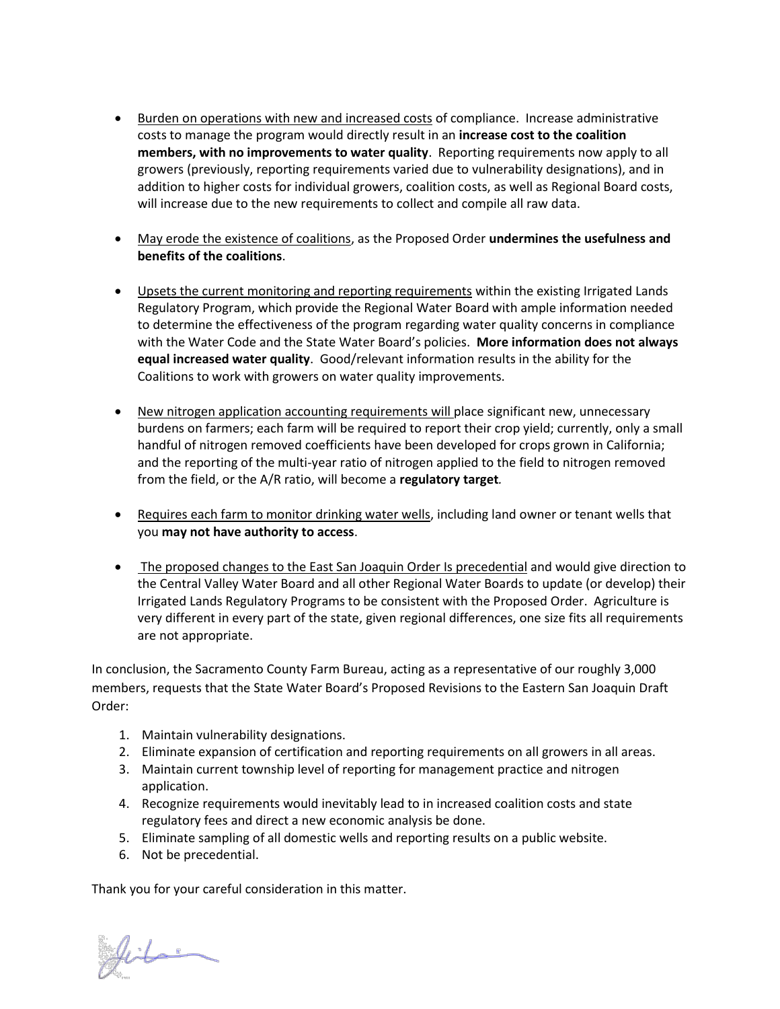- **Burden on operations with new and increased costs of compliance. Increase administrative** costs to manage the program would directly result in an **increase cost to the coalition members, with no improvements to water quality**. Reporting requirements now apply to all growers (previously, reporting requirements varied due to vulnerability designations), and in addition to higher costs for individual growers, coalition costs, as well as Regional Board costs, will increase due to the new requirements to collect and compile all raw data.
- May erode the existence of coalitions, as the Proposed Order **undermines the usefulness and benefits of the coalitions**.
- **•** Upsets the current monitoring and reporting requirements within the existing Irrigated Lands Regulatory Program, which provide the Regional Water Board with ample information needed to determine the effectiveness of the program regarding water quality concerns in compliance with the Water Code and the State Water Board's policies. **More information does not always equal increased water quality**. Good/relevant information results in the ability for the Coalitions to work with growers on water quality improvements.
- New nitrogen application accounting requirements will place significant new, unnecessary burdens on farmers; each farm will be required to report their crop yield; currently, only a small handful of nitrogen removed coefficients have been developed for crops grown in California; and the reporting of the multi-year ratio of nitrogen applied to the field to nitrogen removed from the field, or the A/R ratio, will become a **regulatory target***.*
- Requires each farm to monitor drinking water wells, including land owner or tenant wells that you **may not have authority to access**.
- The proposed changes to the East San Joaquin Order Is precedential and would give direction to the Central Valley Water Board and all other Regional Water Boards to update (or develop) their Irrigated Lands Regulatory Programs to be consistent with the Proposed Order. Agriculture is very different in every part of the state, given regional differences, one size fits all requirements are not appropriate.

In conclusion, the Sacramento County Farm Bureau, acting as a representative of our roughly 3,000 members, requests that the State Water Board's Proposed Revisions to the Eastern San Joaquin Draft Order:

- 1. Maintain vulnerability designations.
- 2. Eliminate expansion of certification and reporting requirements on all growers in all areas.
- 3. Maintain current township level of reporting for management practice and nitrogen application.
- 4. Recognize requirements would inevitably lead to in increased coalition costs and state regulatory fees and direct a new economic analysis be done.
- 5. Eliminate sampling of all domestic wells and reporting results on a public website.
- 6. Not be precedential.

Thank you for your careful consideration in this matter.

Jikain